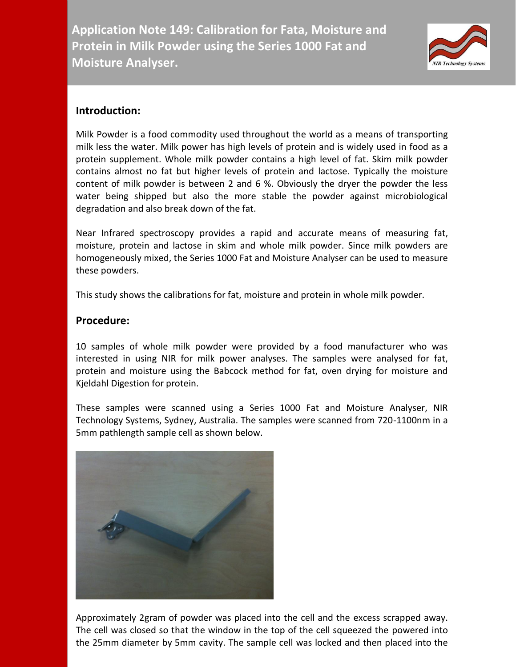**Application Note 149: Calibration for Fata, Moisture and Protein in Milk Powder using the Series 1000 Fat and Moisture Analyser.**



## **Introduction:**

Milk Powder is a food commodity used throughout the world as a means of transporting milk less the water. Milk power has high levels of protein and is widely used in food as a protein supplement. Whole milk powder contains a high level of fat. Skim milk powder contains almost no fat but higher levels of protein and lactose. Typically the moisture content of milk powder is between 2 and 6 %. Obviously the dryer the powder the less water being shipped but also the more stable the powder against microbiological degradation and also break down of the fat.

Near Infrared spectroscopy provides a rapid and accurate means of measuring fat, moisture, protein and lactose in skim and whole milk powder. Since milk powders are homogeneously mixed, the Series 1000 Fat and Moisture Analyser can be used to measure these powders.

This study shows the calibrations for fat, moisture and protein in whole milk powder.

## **Procedure:**

10 samples of whole milk powder were provided by a food manufacturer who was interested in using NIR for milk power analyses. The samples were analysed for fat, protein and moisture using the Babcock method for fat, oven drying for moisture and Kjeldahl Digestion for protein.

These samples were scanned using a Series 1000 Fat and Moisture Analyser, NIR Technology Systems, Sydney, Australia. The samples were scanned from 720-1100nm in a 5mm pathlength sample cell as shown below.



Approximately 2gram of powder was placed into the cell and the excess scrapped away. The cell was closed so that the window in the top of the cell squeezed the powered into the 25mm diameter by 5mm cavity. The sample cell was locked and then placed into the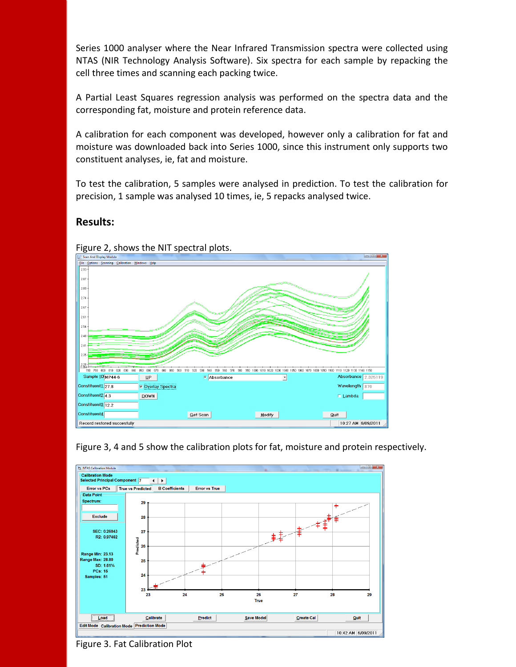Series 1000 analyser where the Near Infrared Transmission spectra were collected using NTAS (NIR Technology Analysis Software). Six spectra for each sample by repacking the cell three times and scanning each packing twice.

A Partial Least Squares regression analysis was performed on the spectra data and the corresponding fat, moisture and protein reference data.

A calibration for each component was developed, however only a calibration for fat and moisture was downloaded back into Series 1000, since this instrument only supports two constituent analyses, ie, fat and moisture.

To test the calibration, 5 samples were analysed in prediction. To test the calibration for precision, 1 sample was analysed 10 times, ie, 5 repacks analysed twice.

## **Results:**







Figure 3. Fat Calibration Plot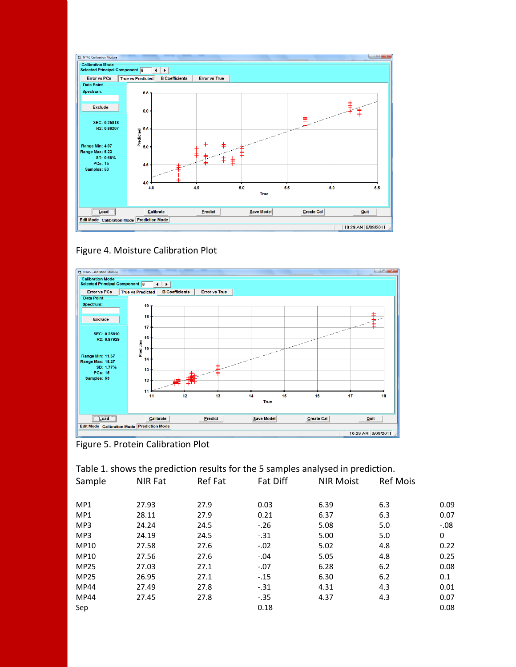







| Table 1. shows the prediction results for the 5 samples analysed in prediction. |         |         |          |                  |                 |        |  |  |  |
|---------------------------------------------------------------------------------|---------|---------|----------|------------------|-----------------|--------|--|--|--|
| Sample                                                                          | NIR Fat | Ref Fat | Fat Diff | <b>NIR Moist</b> | <b>Ref Mois</b> |        |  |  |  |
|                                                                                 |         |         |          |                  |                 |        |  |  |  |
| MP <sub>1</sub>                                                                 | 27.93   | 27.9    | 0.03     | 6.39             | 6.3             | 0.09   |  |  |  |
| MP1                                                                             | 28.11   | 27.9    | 0.21     | 6.37             | 6.3             | 0.07   |  |  |  |
| MP3                                                                             | 24.24   | 24.5    | $-.26$   | 5.08             | 5.0             | $-.08$ |  |  |  |
| MP3                                                                             | 24.19   | 24.5    | $-.31$   | 5.00             | 5.0             | 0      |  |  |  |
| MP10                                                                            | 27.58   | 27.6    | $-.02$   | 5.02             | 4.8             | 0.22   |  |  |  |
| <b>MP10</b>                                                                     | 27.56   | 27.6    | $-.04$   | 5.05             | 4.8             | 0.25   |  |  |  |
| <b>MP25</b>                                                                     | 27.03   | 27.1    | $-.07$   | 6.28             | 6.2             | 0.08   |  |  |  |
| <b>MP25</b>                                                                     | 26.95   | 27.1    | $-.15$   | 6.30             | 6.2             | 0.1    |  |  |  |
| <b>MP44</b>                                                                     | 27.49   | 27.8    | $-.31$   | 4.31             | 4.3             | 0.01   |  |  |  |
| <b>MP44</b>                                                                     | 27.45   | 27.8    | $-.35$   | 4.37             | 4.3             | 0.07   |  |  |  |
| Sep                                                                             |         |         | 0.18     |                  |                 | 0.08   |  |  |  |